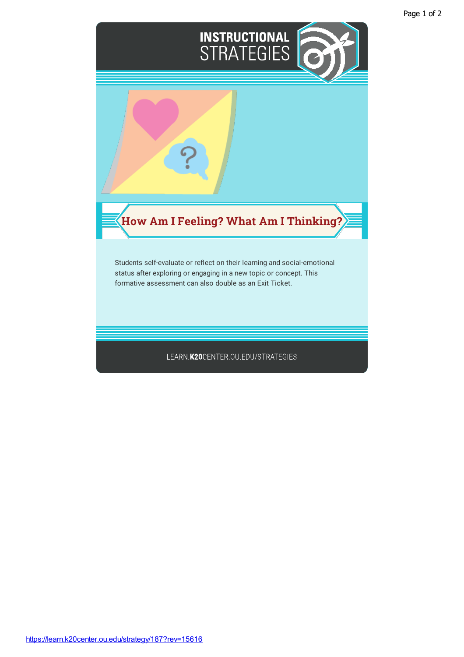